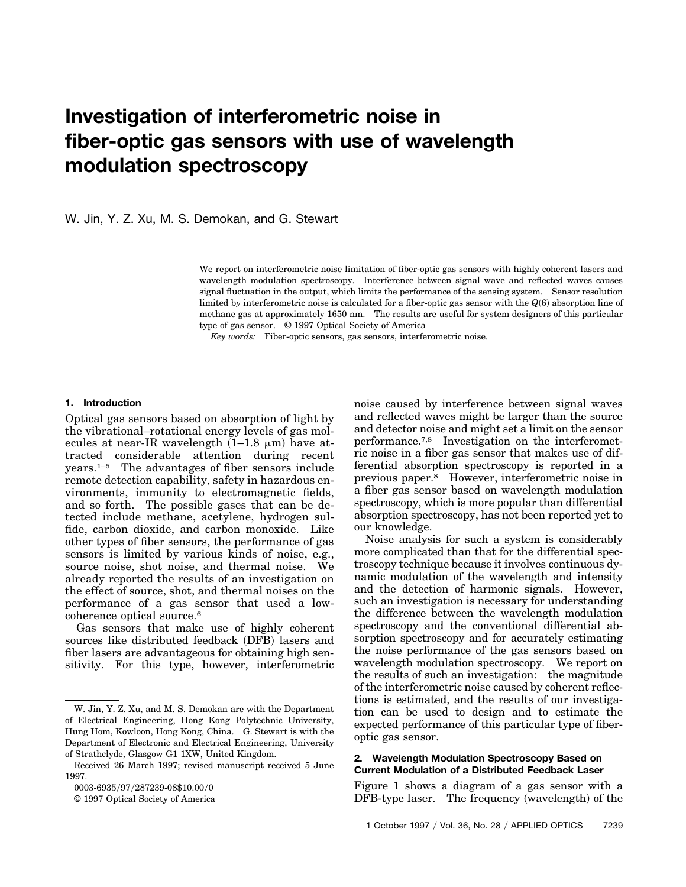# **Investigation of interferometric noise in fiber-optic gas sensors with use of wavelength modulation spectroscopy**

W. Jin, Y. Z. Xu, M. S. Demokan, and G. Stewart

We report on interferometric noise limitation of fiber-optic gas sensors with highly coherent lasers and wavelength modulation spectroscopy. Interference between signal wave and reflected waves causes signal fluctuation in the output, which limits the performance of the sensing system. Sensor resolution limited by interferometric noise is calculated for a fiber-optic gas sensor with the  $Q(6)$  absorption line of methane gas at approximately 1650 nm. The results are useful for system designers of this particular type of gas sensor. © 1997 Optical Society of America

*Key words:* Fiber-optic sensors, gas sensors, interferometric noise.

#### **1. Introduction**

Optical gas sensors based on absorption of light by the vibrational–rotational energy levels of gas molecules at near-IR wavelength  $(1-1.8 \mu m)$  have attracted considerable attention during recent years.1–5 The advantages of fiber sensors include remote detection capability, safety in hazardous environments, immunity to electromagnetic fields, and so forth. The possible gases that can be detected include methane, acetylene, hydrogen sulfide, carbon dioxide, and carbon monoxide. Like other types of fiber sensors, the performance of gas sensors is limited by various kinds of noise, e.g., source noise, shot noise, and thermal noise. We already reported the results of an investigation on the effect of source, shot, and thermal noises on the performance of a gas sensor that used a lowcoherence optical source.6

Gas sensors that make use of highly coherent sources like distributed feedback (DFB) lasers and fiber lasers are advantageous for obtaining high sensitivity. For this type, however, interferometric noise caused by interference between signal waves and reflected waves might be larger than the source and detector noise and might set a limit on the sensor performance.7,8 Investigation on the interferometric noise in a fiber gas sensor that makes use of differential absorption spectroscopy is reported in a previous paper.8 However, interferometric noise in a fiber gas sensor based on wavelength modulation spectroscopy, which is more popular than differential absorption spectroscopy, has not been reported yet to our knowledge.

Noise analysis for such a system is considerably more complicated than that for the differential spectroscopy technique because it involves continuous dynamic modulation of the wavelength and intensity and the detection of harmonic signals. However, such an investigation is necessary for understanding the difference between the wavelength modulation spectroscopy and the conventional differential absorption spectroscopy and for accurately estimating the noise performance of the gas sensors based on wavelength modulation spectroscopy. We report on the results of such an investigation: the magnitude of the interferometric noise caused by coherent reflections is estimated, and the results of our investigation can be used to design and to estimate the expected performance of this particular type of fiberoptic gas sensor.

# **2. Wavelength Modulation Spectroscopy Based on Current Modulation of a Distributed Feedback Laser**

Figure 1 shows a diagram of a gas sensor with a  $DFB$ -type laser. The frequency (wavelength) of the

W. Jin, Y. Z. Xu, and M. S. Demokan are with the Department of Electrical Engineering, Hong Kong Polytechnic University, Hung Hom, Kowloon, Hong Kong, China. G. Stewart is with the Department of Electronic and Electrical Engineering, University of Strathclyde, Glasgow G1 1XW, United Kingdom.

Received 26 March 1997; revised manuscript received 5 June 1997.

<sup>0003-6935/97/287239-08\$10.00/0</sup> 

<sup>© 1997</sup> Optical Society of America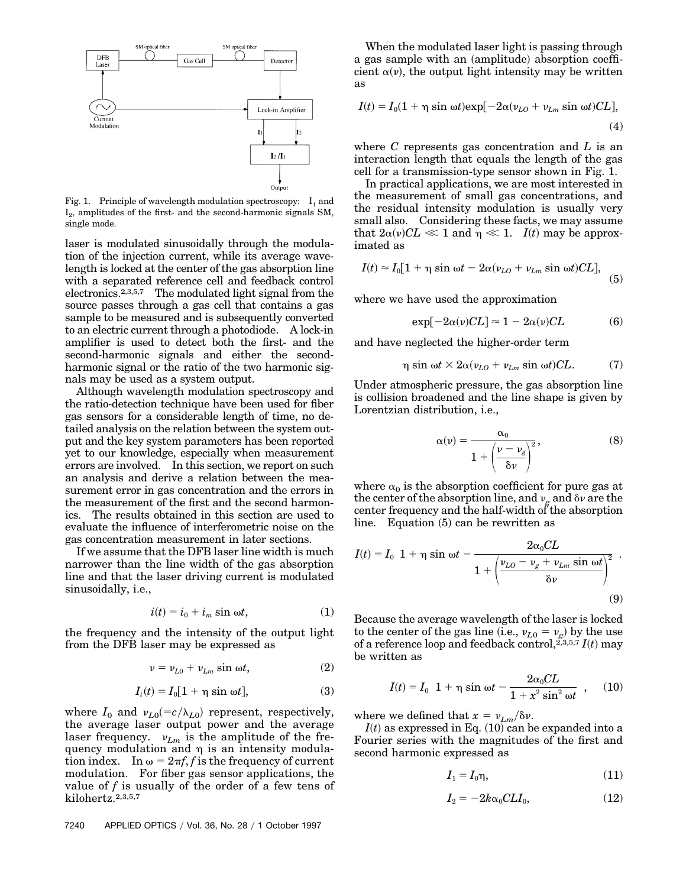

Fig. 1. Principle of wavelength modulation spectroscopy:  $I_1$  and  $I_2$ , amplitudes of the first- and the second-harmonic signals SM, single mode.

laser is modulated sinusoidally through the modulation of the injection current, while its average wavelength is locked at the center of the gas absorption line with a separated reference cell and feedback control electronics.2,3,5,7 The modulated light signal from the source passes through a gas cell that contains a gas sample to be measured and is subsequently converted to an electric current through a photodiode. A lock-in amplifier is used to detect both the first- and the second-harmonic signals and either the secondharmonic signal or the ratio of the two harmonic signals may be used as a system output.

Although wavelength modulation spectroscopy and the ratio-detection technique have been used for fiber gas sensors for a considerable length of time, no detailed analysis on the relation between the system output and the key system parameters has been reported yet to our knowledge, especially when measurement errors are involved. In this section, we report on such an analysis and derive a relation between the measurement error in gas concentration and the errors in the measurement of the first and the second harmonics. The results obtained in this section are used to evaluate the influence of interferometric noise on the gas concentration measurement in later sections.

If we assume that the DFB laser line width is much narrower than the line width of the gas absorption line and that the laser driving current is modulated sinusoidally, i.e.,

$$
i(t) = i_0 + i_m \sin \omega t, \qquad (1)
$$

the frequency and the intensity of the output light from the DFB laser may be expressed as

$$
\nu = \nu_{L0} + \nu_{Lm} \sin \omega t, \qquad (2)
$$

$$
I_i(t) = I_0[1 + \eta \sin \omega t], \qquad (3)
$$

where  $I_0$  and  $v_{L0} (=c/\lambda_{L0})$  represent, respectively, the average laser output power and the average laser frequency.  $v_{Lm}$  is the amplitude of the frequency modulation and  $\eta$  is an intensity modulation index. In  $\omega = 2\pi f$ , *f* is the frequency of current modulation. For fiber gas sensor applications, the value of *f* is usually of the order of a few tens of kilohertz.2,3,5,7

When the modulated laser light is passing through a gas sample with an (amplitude) absorption coefficient  $\alpha(\nu)$ , the output light intensity may be written as

$$
I(t) = I_0(1 + \eta \sin \omega t) \exp[-2\alpha(\nu_{LO} + \nu_{Lm} \sin \omega t)CL],
$$
\n(4)

where *C* represents gas concentration and *L* is an interaction length that equals the length of the gas cell for a transmission-type sensor shown in Fig. 1.

In practical applications, we are most interested in the measurement of small gas concentrations, and the residual intensity modulation is usually very small also. Considering these facts, we may assume that  $2\alpha(\nu)CL \ll 1$  and  $\eta \ll 1$ . *I*(*t*) may be approximated as

$$
I(t) \approx I_0[1 + \eta \sin \omega t - 2\alpha(v_{LO} + v_{Lm} \sin \omega t)CL],
$$
 (5)

where we have used the approximation

$$
\exp[-2\alpha(\nu)CL] \approx 1 - 2\alpha(\nu)CL \tag{6}
$$

and have neglected the higher-order term

$$
\eta \sin \omega t \times 2\alpha (\nu_{LO} + \nu_{Lm} \sin \omega t) CL. \tag{7}
$$

Under atmospheric pressure, the gas absorption line is collision broadened and the line shape is given by Lorentzian distribution, i.e.,

$$
\alpha(\nu) = \frac{\alpha_0}{1 + \left(\frac{\nu - \nu_g}{\delta \nu}\right)^2},\tag{8}
$$

where  $\alpha_0$  is the absorption coefficient for pure gas at the center of the absorption line, and  $v_g$  and  $\delta v$  are the center frequency and the half-width of the absorption  $line.$  Equation  $(5)$  can be rewritten as

$$
I(t) = I_0 \left[ 1 + \eta \sin \omega t - \frac{2\alpha_0 CL}{1 + \left( \frac{\nu_{LO} - \nu_g + \nu_{Lm} \sin \omega t}{\delta \nu} \right)^2} \right].
$$
\n(9)

Because the average wavelength of the laser is locked to the center of the gas line (i.e.,  $v_{L0} = v_g$ ) by the use of a reference loop and feedback control,  $\tilde{z}_{3,5,7}$   $I(t)$  may be written as

$$
I(t) = I_0 \left[ 1 + \eta \sin \omega t - \frac{2\alpha_0 CL}{1 + x^2 \sin^2 \omega t} \right], \quad (10)
$$

where we defined that  $x = v_{Lm}/\delta v$ .

 $I(t)$  as expressed in Eq.  $(10)$  can be expanded into a Fourier series with the magnitudes of the first and second harmonic expressed as

$$
I_1 = I_0 \eta, \tag{11}
$$

$$
I_2 = -2k\alpha_0 CLI_0, \qquad (12)
$$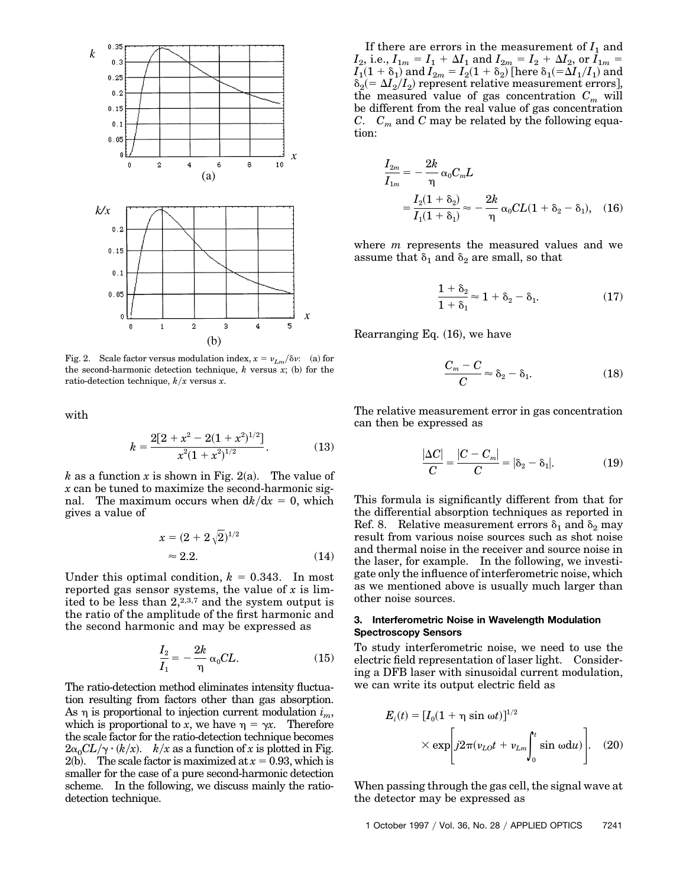

Fig. 2. Scale factor versus modulation index,  $x = v_{Lm}/\delta v$ : (a) for the second-harmonic detection technique,  $k$  versus  $x$ ; (b) for the ratio-detection technique,  $k/x$  versus  $x$ .

with

$$
k = \frac{2[2 + x^2 - 2(1 + x^2)^{1/2}]}{x^2(1 + x^2)^{1/2}}.
$$
 (13)

*k* as a function *x* is shown in Fig. 2(a). The value of *x* can be tuned to maximize the second-harmonic signal. The maximum occurs when  $dk/dx = 0$ , which gives a value of

$$
x = (2 + 2\sqrt{2})^{1/2}
$$
  
\n
$$
\approx 2.2.
$$
 (14)

Under this optimal condition,  $k = 0.343$ . In most reported gas sensor systems, the value of *x* is limited to be less than 2,2,3,7 and the system output is the ratio of the amplitude of the first harmonic and the second harmonic and may be expressed as

$$
\frac{I_2}{I_1} = -\frac{2k}{\eta} \alpha_0 CL.
$$
 (15)

The ratio-detection method eliminates intensity fluctuation resulting from factors other than gas absorption. As  $\eta$  is proportional to injection current modulation  $i_m$ , which is proportional to *x*, we have  $\eta = \gamma x$ . Therefore the scale factor for the ratio-detection technique becomes  $2\alpha_0 CL/\gamma \cdot (k/x)$ . *k/x* as a function of *x* is plotted in Fig. 2(b). The scale factor is maximized at  $x = 0.93$ , which is smaller for the case of a pure second-harmonic detection scheme. In the following, we discuss mainly the ratiodetection technique.

If there are errors in the measurement of  $I_1$  and  $I_2$ , i.e.,  $I_{1m} = I_1 + \Delta I_1$  and  $I_{2m} = I_2 + \Delta I_2$ , or  $I_{1m} =$  $I_1(1 + \delta_1)$  and  $I_{2m} = I_2(1 + \delta_2)$  [here  $\delta_1(=\Delta I_1/I_1)$  and  $\delta_2(=\Delta I_2/I_2)$  represent relative measurement errors], the measured value of gas concentration  $C_m$  will be different from the real value of gas concentration *C.*  $C_m$  and *C* may be related by the following equation:

$$
\frac{I_{2m}}{I_{1m}} = -\frac{2k}{\eta} \alpha_0 C_m L
$$
  
=  $\frac{I_2(1 + \delta_2)}{I_1(1 + \delta_1)} \approx -\frac{2k}{\eta} \alpha_0 CL (1 + \delta_2 - \delta_1),$  (16)

where *m* represents the measured values and we assume that  $\delta_1$  and  $\delta_2$  are small, so that

$$
\frac{1+\delta_2}{1+\delta_1} \approx 1+\delta_2-\delta_1. \tag{17}
$$

Rearranging Eq.  $(16)$ , we have

$$
\frac{C_m - C}{C} \approx \delta_2 - \delta_1. \tag{18}
$$

The relative measurement error in gas concentration can then be expressed as

$$
\frac{|\Delta C|}{C} = \frac{|C - C_m|}{C} = |\delta_2 - \delta_1|.\tag{19}
$$

This formula is significantly different from that for the differential absorption techniques as reported in Ref. 8. Relative measurement errors  $\delta_1$  and  $\delta_2$  may result from various noise sources such as shot noise and thermal noise in the receiver and source noise in the laser, for example. In the following, we investigate only the influence of interferometric noise, which as we mentioned above is usually much larger than other noise sources.

## **3. Interferometric Noise in Wavelength Modulation Spectroscopy Sensors**

To study interferometric noise, we need to use the electric field representation of laser light. Considering a DFB laser with sinusoidal current modulation, we can write its output electric field as

$$
E_i(t) = [I_0(1 + \eta \sin \omega t)]^{1/2}
$$
  
 
$$
\times \exp \left[j2\pi (v_{LO}t + v_{Lm}\int_0^t \sin \omega du)\right].
$$
 (20)

When passing through the gas cell, the signal wave at the detector may be expressed as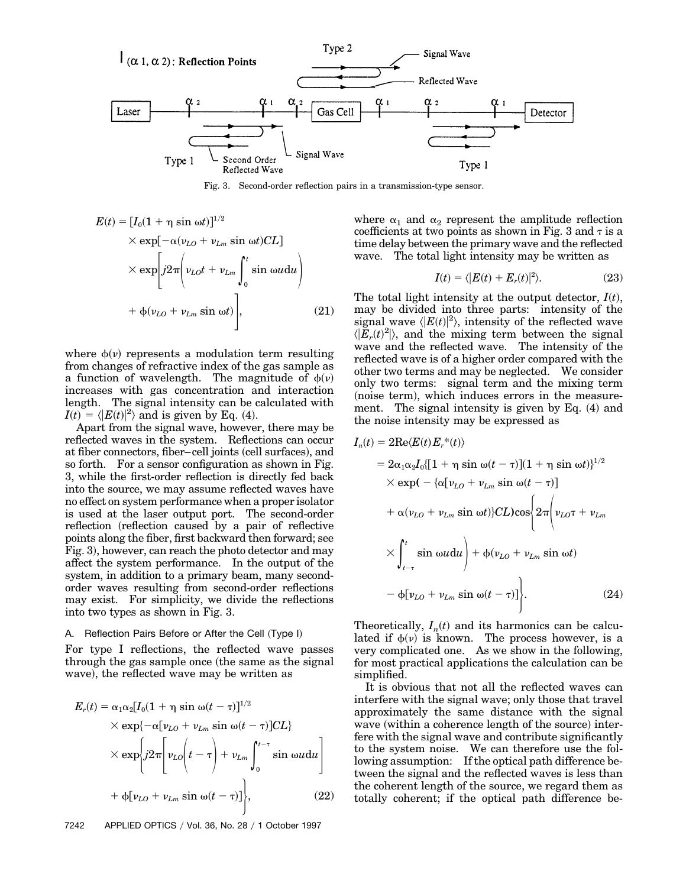

Fig. 3. Second-order reflection pairs in a transmission-type sensor.

$$
E(t) = [I_0(1 + \eta \sin \omega t)]^{1/2}
$$
  
\n
$$
\times \exp[-\alpha(v_{LO} + v_{Lm} \sin \omega t)CL]
$$
  
\n
$$
\times \exp\left[j2\pi \left(v_{LO}t + v_{Lm}\int_0^t \sin \omega u du\right)\right]
$$
  
\n
$$
+ \phi(v_{LO} + v_{Lm} \sin \omega t)\Bigg],
$$
\n(21)

where  $\phi(\nu)$  represents a modulation term resulting from changes of refractive index of the gas sample as a function of wavelength. The magnitude of  $\phi(\nu)$ increases with gas concentration and interaction length. The signal intensity can be calculated with  $I(t) = \langle |E(t)|^2 \rangle$  and is given by Eq. (4).

Apart from the signal wave, however, there may be reflected waves in the system. Reflections can occur at fiber connectors, fiber–cell joints (cell surfaces), and so forth. For a sensor configuration as shown in Fig. 3, while the first-order reflection is directly fed back into the source, we may assume reflected waves have no effect on system performance when a proper isolator is used at the laser output port. The second-order reflection (reflection caused by a pair of reflective points along the fiber, first backward then forward; see Fig. 3), however, can reach the photo detector and may affect the system performance. In the output of the system, in addition to a primary beam, many secondorder waves resulting from second-order reflections may exist. For simplicity, we divide the reflections into two types as shown in Fig. 3.

## A. Reflection Pairs Before or After the Cell (Type I)

For type I reflections, the reflected wave passes through the gas sample once (the same as the signal wave), the reflected wave may be written as

$$
E_r(t) = \alpha_1 \alpha_2 [I_0 (1 + \eta \sin \omega (t - \tau)]^{1/2}
$$
  
\n
$$
\times \exp{\{-\alpha [\nu_{LO} + \nu_{Lm} \sin \omega (t - \tau)]CL\}}
$$
  
\n
$$
\times \exp{\{j2\pi [\nu_{LO}(t - \tau) + \nu_{Lm} \int_0^{t - \tau} \sin \omega t] \}}
$$
  
\n
$$
+ \Phi[\nu_{LO} + \nu_{Lm} \sin \omega (t - \tau)]
$$
, (22)

where  $\alpha_1$  and  $\alpha_2$  represent the amplitude reflection coefficients at two points as shown in Fig. 3 and  $\tau$  is a time delay between the primary wave and the reflected wave. The total light intensity may be written as

$$
I(t) = \langle |E(t) + E_r(t)|^2 \rangle. \tag{23}
$$

The total light intensity at the output detector,  $I(t)$ , may be divided into three parts: intensity of the signal wave  $\langle |E(t)|^2 \rangle$ , intensity of the reflected wave  $\langle \vert E_r(t)^2 \vert \rangle$ , and the mixing term between the signal wave and the reflected wave. The intensity of the reflected wave is of a higher order compared with the other two terms and may be neglected. We consider only two terms: signal term and the mixing term (noise term), which induces errors in the measurement. The signal intensity is given by Eq.  $(4)$  and the noise intensity may be expressed as

$$
I_n(t) = 2\text{Re}\langle E(t)E_r^*(t)\rangle
$$
  
\n
$$
= 2\alpha_1\alpha_2I_0\{[1 + \eta \sin \omega(t - \tau)](1 + \eta \sin \omega t)\}^{1/2}
$$
  
\n
$$
\times \exp(-\{\alpha[\nu_{LO} + \nu_{Lm} \sin \omega(t - \tau)]
$$
  
\n
$$
+ \alpha(\nu_{LO} + \nu_{Lm} \sin \omega t)\}CL)\cos\{2\pi(\nu_{LO} + \nu_{Lm})
$$
  
\n
$$
\times \int_{t-\tau}^t \sin \omega u du + \phi(\nu_{LO} + \nu_{Lm} \sin \omega t)
$$
  
\n
$$
- \phi[\nu_{LO} + \nu_{Lm} \sin \omega(t - \tau)]\}.
$$
 (24)

Theoretically,  $I_n(t)$  and its harmonics can be calculated if  $\phi(\nu)$  is known. The process however, is a very complicated one. As we show in the following, for most practical applications the calculation can be simplified.

It is obvious that not all the reflected waves can interfere with the signal wave; only those that travel approximately the same distance with the signal wave (within a coherence length of the source) interfere with the signal wave and contribute significantly to the system noise. We can therefore use the following assumption: If the optical path difference between the signal and the reflected waves is less than the coherent length of the source, we regard them as totally coherent; if the optical path difference be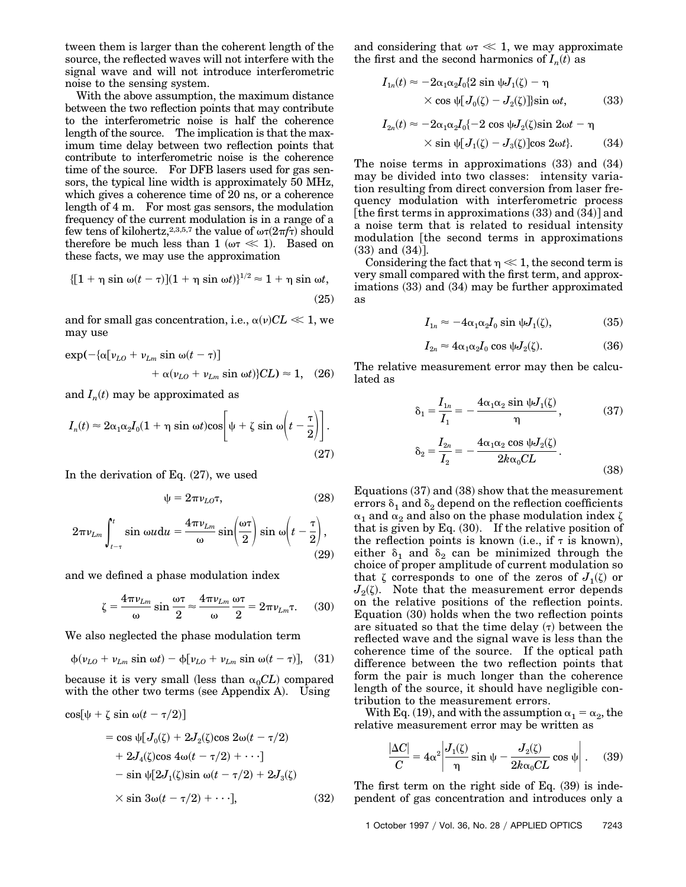tween them is larger than the coherent length of the source, the reflected waves will not interfere with the signal wave and will not introduce interferometric noise to the sensing system.

With the above assumption, the maximum distance between the two reflection points that may contribute to the interferometric noise is half the coherence length of the source. The implication is that the maximum time delay between two reflection points that contribute to interferometric noise is the coherence time of the source. For DFB lasers used for gas sensors, the typical line width is approximately 50 MHz, which gives a coherence time of 20 ns, or a coherence length of 4 m. For most gas sensors, the modulation frequency of the current modulation is in a range of a few tens of kilohertz,<sup>2,3,5,7</sup> the value of  $\omega\tau(2\pi f\tau)$  should therefore be much less than 1 ( $\omega \tau \ll 1$ ). Based on these facts, we may use the approximation

$$
\{[1+\eta\sin\omega(t-\tau)](1+\eta\sin\omega t)\}^{1/2} \approx 1+\eta\sin\omega t,
$$
\n(25)

and for small gas concentration, i.e.,  $\alpha(\nu)CL \ll 1$ , we may use

$$
\exp(-\{\alpha[\nu_{LO} + \nu_{Lm} \sin \omega(t-\tau)] + \alpha(\nu_{LO} + \nu_{Lm} \sin \omega t)\}CL) \approx 1, \quad (26)
$$

and  $I_n(t)$  may be approximated as

$$
I_n(t) \approx 2\alpha_1\alpha_2 I_0(1+\eta \sin \omega t) \cos\left[\psi + \zeta \sin \omega \left(t - \frac{\tau}{2}\right)\right].
$$
\n(27)

In the derivation of Eq.  $(27)$ , we used

$$
\psi = 2\pi \nu_{LO} \tau, \tag{28}
$$

$$
2\pi\nu_{Lm} \int_{t-\tau}^{t} \sin \omega u \,du = \frac{4\pi\nu_{Lm}}{\omega} \sin\left(\frac{\omega\tau}{2}\right) \sin \omega \left(t - \frac{\tau}{2}\right),\tag{29}
$$

and we defined a phase modulation index

$$
\zeta = \frac{4\pi\nu_{Lm}}{\omega} \sin \frac{\omega \tau}{2} \approx \frac{4\pi\nu_{Lm}}{\omega} \frac{\omega \tau}{2} = 2\pi\nu_{Lm} \tau. \tag{30}
$$

We also neglected the phase modulation term

 $\cos[\psi + \zeta \sin \omega(t - \tau/2)]$ 

$$
\phi(\nu_{LO} + \nu_{Lm} \sin \omega t) - \phi[\nu_{LO} + \nu_{Lm} \sin \omega (t - \tau)], \quad (31)
$$

because it is very small (less than  $\alpha_0 CL$ ) compared with the other two terms (see Appendix A). Using

$$
= \cos \psi [J_0(\zeta) + 2J_2(\zeta)\cos 2\omega(t - \tau/2)
$$
  
+ 2J<sub>4</sub>(\zeta)\cos 4\omega(t - \tau/2) + \cdots]  
- \sin \psi [2J\_1(\zeta)\sin \omega(t - \tau/2) + 2J\_3(\zeta)  
\times \sin 3\omega(t - \tau/2) + \cdots], \qquad (32)

and considering that  $\omega \tau \ll 1$ , we may approximate the first and the second harmonics of  $I_n(t)$  as

$$
I_{1n}(t) \approx -2\alpha_1 \alpha_2 I_0 \{2 \sin \psi J_1(\zeta) - \eta
$$
  
 
$$
\times \cos \psi [J_0(\zeta) - J_2(\zeta)] \sin \omega t, \qquad (33)
$$

$$
I_{2n}(t) \approx -2\alpha_1\alpha_2I_0\{-2\cos\psi J_2(\zeta)\sin 2\omega t - \eta
$$
  
 
$$
\times \sin\psi[J_1(\zeta) - J_3(\zeta)]\cos 2\omega t\}. \tag{34}
$$

The noise terms in approximations  $(33)$  and  $(34)$ may be divided into two classes: intensity variation resulting from direct conversion from laser frequency modulation with interferometric process [the first terms in approximations  $(33)$  and  $(34)$ ] and a noise term that is related to residual intensity modulation [the second terms in approximations]  $(33)$  and  $(34)$ ].

Considering the fact that  $n \ll 1$ , the second term is very small compared with the first term, and approximations  $(33)$  and  $(34)$  may be further approximated as

$$
I_{1n} \approx -4\alpha_1 \alpha_2 I_0 \sin \psi J_1(\zeta), \tag{35}
$$

$$
I_{2n} \approx 4\alpha_1 \alpha_2 I_0 \cos \psi J_2(\zeta).
$$
 (36)

The relative measurement error may then be calculated as

$$
\delta_1 = \frac{I_{1n}}{I_1} = -\frac{4\alpha_1\alpha_2 \sin \psi J_1(\zeta)}{\eta},
$$
(37)  

$$
\delta_2 = \frac{I_{2n}}{I_2} = -\frac{4\alpha_1\alpha_2 \cos \psi J_2(\zeta)}{2k\alpha_0 CL}.
$$
(38)

Equations  $(37)$  and  $(38)$  show that the measurement errors  $\delta_1$  and  $\delta_2$  depend on the reflection coefficients  $\alpha_1$  and  $\alpha_2$  and also on the phase modulation index  $\zeta$ that is given by Eq.  $(30)$ . If the relative position of the reflection points is known (i.e., if  $\tau$  is known), either  $\delta_1$  and  $\delta_2$  can be minimized through the choice of proper amplitude of current modulation so that  $\zeta$  corresponds to one of the zeros of  $J_1(\zeta)$  or  $J_2(\zeta)$ . Note that the measurement error depends on the relative positions of the reflection points. Equation  $(30)$  holds when the two reflection points are situated so that the time delay  $(τ)$  between the reflected wave and the signal wave is less than the coherence time of the source. If the optical path difference between the two reflection points that form the pair is much longer than the coherence length of the source, it should have negligible contribution to the measurement errors.

With Eq. (19), and with the assumption  $\alpha_1 = \alpha_2$ , the relative measurement error may be written as

$$
\frac{|\Delta C|}{C} = 4\alpha^2 \left| \frac{J_1(\zeta)}{\eta} \sin \psi - \frac{J_2(\zeta)}{2k\alpha_0 CL} \cos \psi \right|.
$$
 (39)

The first term on the right side of Eq.  $(39)$  is independent of gas concentration and introduces only a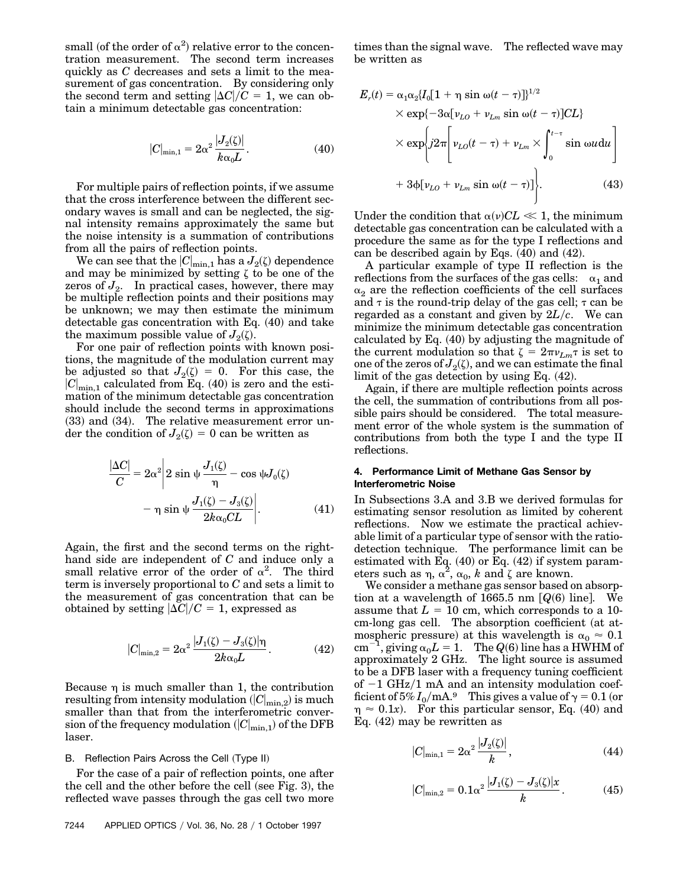small (of the order of  $\alpha^2$ ) relative error to the concentration measurement. The second term increases quickly as *C* decreases and sets a limit to the measurement of gas concentration. By considering only the second term and setting  $|\Delta C|/C = 1$ , we can obtain a minimum detectable gas concentration:

$$
|C|_{\min,1} = 2\alpha^2 \frac{|J_2(\zeta)|}{k\alpha_0 L}.
$$
 (40)

For multiple pairs of reflection points, if we assume that the cross interference between the different secondary waves is small and can be neglected, the signal intensity remains approximately the same but the noise intensity is a summation of contributions from all the pairs of reflection points.

We can see that the  $|C|_{\text{min},1}$  has a  $J_2(\zeta)$  dependence and may be minimized by setting  $\zeta$  to be one of the zeros of  $J_2$ . In practical cases, however, there may be multiple reflection points and their positions may be unknown; we may then estimate the minimum detectable gas concentration with Eq.  $(40)$  and take the maximum possible value of  $J_2(\zeta)$ .

For one pair of reflection points with known positions, the magnitude of the modulation current may be adjusted so that  $J_2(\zeta) = 0$ . For this case, the  $|C|_{\text{min},1}$  calculated from Eq.  $(40)$  is zero and the estimation of the minimum detectable gas concentration should include the second terms in approximations  $(33)$  and  $(34)$ . The relative measurement error under the condition of  $J_2(\zeta) = 0$  can be written as

$$
\frac{|\Delta C|}{C} = 2\alpha^2 \left| 2 \sin \psi \frac{J_1(\zeta)}{\eta} - \cos \psi J_0(\zeta) - \eta \sin \psi \frac{J_1(\zeta) - J_3(\zeta)}{2k\alpha_0 CL} \right|.
$$
 (41)

Again, the first and the second terms on the righthand side are independent of *C* and induce only a small relative error of the order of  $\alpha^2$ . The third term is inversely proportional to *C* and sets a limit to the measurement of gas concentration that can be obtained by setting  $|\Delta C|/C = 1$ , expressed as

$$
|C|_{\min,2} = 2\alpha^2 \frac{|J_1(\zeta) - J_3(\zeta)|\eta}{2k\alpha_0 L}.
$$
 (42)

Because  $\eta$  is much smaller than 1, the contribution  ${\rm resulting~from~intensity~modulation}~(|C|_{{\rm min},2}) \hbox{ is much}$ smaller than that from the interferometric conver- $\operatorname{sin}$  of the frequency modulation  $(|C|_{\mathrm{min,1}})$  of the DFB laser.

#### B. Reflection Pairs Across the Cell (Type II)

For the case of a pair of reflection points, one after the cell and the other before the cell (see Fig. 3), the reflected wave passes through the gas cell two more

7244 APPLIED OPTICS / Vol. 36, No. 28 / 1 October 1997

times than the signal wave. The reflected wave may be written as

$$
E_r(t) = \alpha_1 \alpha_2 \{ I_0 [1 + \eta \sin \omega(t - \tau)] \}^{1/2}
$$
  
×  $\exp\{-3\alpha [v_{LO} + v_{Lm} \sin \omega(t - \tau)]CL \}$   
×  $\exp\left\{ j2\pi \left[ v_{LO}(t - \tau) + v_{Lm} \times \int_0^{t - \tau} \sin \omega t \right] \right\}$   
+  $3\varphi[v_{LO} + v_{Lm} \sin \omega(t - \tau)]$ . (43)

Under the condition that  $\alpha(\nu)CL \ll 1$ , the minimum detectable gas concentration can be calculated with a procedure the same as for the type I reflections and can be described again by Eqs.  $(40)$  and  $(42)$ .

A particular example of type II reflection is the reflections from the surfaces of the gas cells:  $\alpha_1$  and  $\alpha_2$  are the reflection coefficients of the cell surfaces and  $\tau$  is the round-trip delay of the gas cell;  $\tau$  can be regarded as a constant and given by  $2L/c$ . We can minimize the minimum detectable gas concentration calculated by Eq.  $(40)$  by adjusting the magnitude of the current modulation so that  $\zeta = 2\pi v_{Lm} \tau$  is set to one of the zeros of  $J_2(\zeta)$ , and we can estimate the final limit of the gas detection by using Eq.  $(42)$ .

Again, if there are multiple reflection points across the cell, the summation of contributions from all possible pairs should be considered. The total measurement error of the whole system is the summation of contributions from both the type I and the type II reflections.

### **4. Performance Limit of Methane Gas Sensor by Interferometric Noise**

In Subsections 3.A and 3.B we derived formulas for estimating sensor resolution as limited by coherent reflections. Now we estimate the practical achievable limit of a particular type of sensor with the ratiodetection technique. The performance limit can be estimated with Eq.  $(40)$  or Eq.  $(42)$  if system parameters such as  $\eta$ ,  $\alpha^2$ ,  $\alpha_0$ , *k* and  $\zeta$  are known.

We consider a methane gas sensor based on absorption at a wavelength of 1665.5 nm  $[Q(6)$  line. We assume that  $L = 10$  cm, which corresponds to a 10cm-long gas cell. The absorption coefficient (at atmospheric pressure) at this wavelength is  $\alpha_0 \approx 0.1$  $cm^{-1}$ , giving  $\alpha_0 L = 1$ . The  $Q(6)$  line has a HWHM of approximately 2 GHz. The light source is assumed to be a DFB laser with a frequency tuning coefficient of  $-1$  GHz/1 mA and an intensity modulation coefficient of  $5\% I_0/mA$ .<sup>9</sup> This gives a value of  $\gamma = 0.1$  (or  $\eta \approx 0.1x$ . For this particular sensor, Eq. (40) and Eq.  $(42)$  may be rewritten as

$$
|C|_{\min,1} = 2\alpha^2 \frac{|J_2(\zeta)|}{k},\qquad(44)
$$

$$
|C|_{\min,2} = 0.1\alpha^2 \frac{|J_1(\zeta) - J_3(\zeta)|x}{k}.
$$
 (45)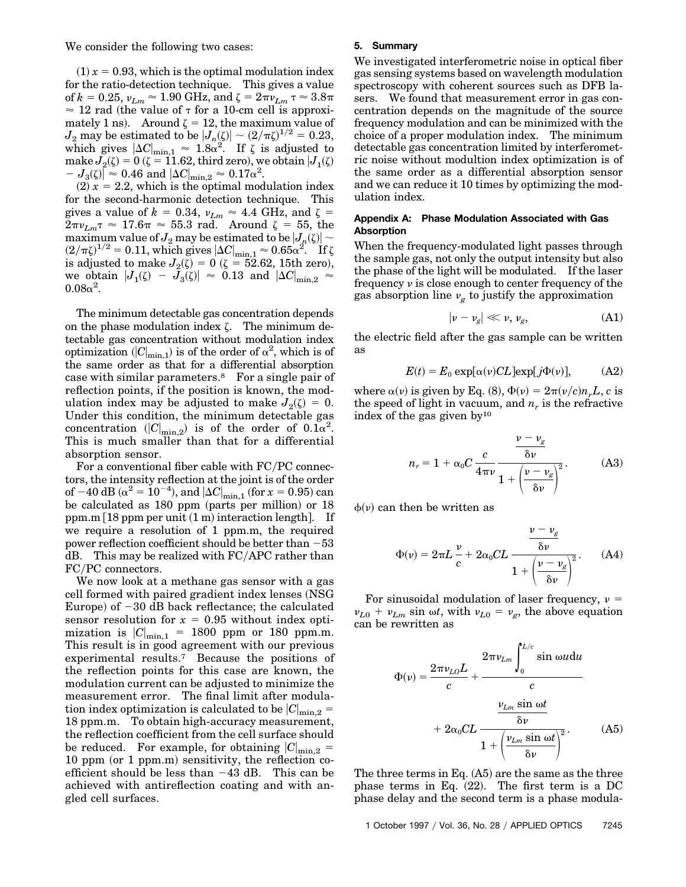We consider the following two cases:

 $(1) x = 0.93$ , which is the optimal modulation index for the ratio-detection technique. This gives a value of  $k = 0.25$ ,  $v_{Lm} \approx 1.90$  GHz, and  $\zeta = 2\pi v_{Lm} \tau \approx 3.8\pi$  $\approx$  12 rad (the value of  $\tau$  for a 10-cm cell is approximately 1 ns). Around  $\zeta = 12$ , the maximum value of  $J_2$  may be estimated to be  $|J_n(\zeta)| \sim (2/\pi\zeta)^{1/2} = 0.23,$ which gives  $|\Delta C|_{\text{min},1} \approx 1.8\alpha^2$ . If  $\zeta$  is adjusted to make  $J_2(\zeta) = 0$  ( $\zeta = 11.62$ , third zero), we obtain  $J_1(\zeta)$  $I = J_3(\zeta) \sim 0.46$  and  $|\Delta C|_{\text{min},2} \approx 0.17 \alpha^2$ .

 $(2)$   $x = 2.2$ , which is the optimal modulation index for the second-harmonic detection technique. This gives a value of  $k = 0.34$ ,  $v_{Lm} \approx 4.4$  GHz, and  $\zeta =$  $2\pi \nu_{Lm} \tau \, \approx \, 17.6 \pi \, \approx \, 55.3 \, \text{ rad.} \quad \text{Around} \, \zeta \, = \, 55, \, \text{the}$ maximum value of  $J_2$  may be estimated to be  $|J_n(\zeta)| \sim$  $(2/\pi\zeta)^{1/2} = 0.11$ , which gives  $|\Delta C|_{\text{min},1} \approx 0.65\alpha^2$ . If  $\zeta$ is adjusted to make  $J_2(\zeta) = 0$  ( $\zeta = 52.62, 15$ th zero), we obtain  $|J_1(\zeta) - J_3(\zeta)| \, \approx \, 0.13$  and  $|\Delta C|_{\mathrm{min},2} \, \approx$  $0.08\alpha^2$ .

The minimum detectable gas concentration depends on the phase modulation index  $\zeta$ . The minimum detectable gas concentration without modulation index optimization  $||C|_{\text{min},1}$  is of the order of  $\alpha^2$ , which is of the same order as that for a differential absorption case with similar parameters.8 For a single pair of reflection points, if the position is known, the modulation index may be adjusted to make  $J_2(\zeta) = 0$ . Under this condition, the minimum detectable gas concentration  $(|C|_{\text{min},2})$  is of the order of  $0.1\alpha^2$ . This is much smaller than that for a differential absorption sensor.

For a conventional fiber cable with  $FC/PC$  connectors, the intensity reflection at the joint is of the order of  $-40~\rm{dB}$  ( $\alpha^2 = 10^{-4}$ ), and  $|\Delta C|_{\rm{min,1}}$  (for  $x = 0.95$ ) can be calculated as  $180$  ppm (parts per million) or  $18$ ppm.m  $[18$  ppm per unit  $(1 \text{ m})$  interaction length. If we require a resolution of 1 ppm.m, the required power reflection coefficient should be better than  $-53$  $dB.$  This may be realized with  $FC/APC$  rather than FC/PC connectors.

We now look at a methane gas sensor with a gas cell formed with paired gradient index lenses (NSG) Europe) of  $-30$  dB back reflectance; the calculated sensor resolution for  $x = 0.95$  without index optimization is  $|C|_{\text{min},1}$  = 1800 ppm or 180 ppm.m. This result is in good agreement with our previous experimental results.7 Because the positions of the reflection points for this case are known, the modulation current can be adjusted to minimize the measurement error. The final limit after modulation index optimization is calculated to be  $|C|_{\text{min},2}$  = 18 ppm.m. To obtain high-accuracy measurement, the reflection coefficient from the cell surface should be reduced. For example, for obtaining  $|C|_{\text{min},2}$  = 10 ppm (or 1 ppm.m) sensitivity, the reflection coefficient should be less than  $-43$  dB. This can be achieved with antireflection coating and with angled cell surfaces.

#### **5. Summary**

We investigated interferometric noise in optical fiber gas sensing systems based on wavelength modulation spectroscopy with coherent sources such as DFB lasers. We found that measurement error in gas concentration depends on the magnitude of the source frequency modulation and can be minimized with the choice of a proper modulation index. The minimum detectable gas concentration limited by interferometric noise without modultion index optimization is of the same order as a differential absorption sensor and we can reduce it 10 times by optimizing the modulation index.

## **Appendix A: Phase Modulation Associated with Gas Absorption**

When the frequency-modulated light passes through the sample gas, not only the output intensity but also the phase of the light will be modulated. If the laser frequency  $\nu$  is close enough to center frequency of the gas absorption line  $v_g$  to justify the approximation

$$
|\nu - \nu_g| \ll \nu, \nu_g, \tag{A1}
$$

the electric field after the gas sample can be written as

$$
E(t) = E_0 \exp[\alpha(\nu)CL] \exp[j\Phi(\nu)], \quad (A2)
$$

where  $\alpha(\nu)$  is given by Eq. (8),  $\Phi(\nu) = 2\pi(\nu/c)n_rL$ , *c* is the speed of light in vacuum, and  $n_r$  is the refractive index of the gas given  $by<sup>10</sup>$ 

$$
n_r = 1 + \alpha_0 C \frac{c}{4\pi\nu} \frac{\delta\nu}{1 + \left(\frac{\nu - \nu_g}{\delta\nu}\right)^2}.
$$
 (A3)

 $\phi(\nu)$  can then be written as

$$
\Phi(\nu) = 2\pi L \frac{\nu}{c} + 2\alpha_0 CL \frac{\frac{\nu - \nu_g}{\delta \nu}}{1 + \left(\frac{\nu - \nu_g}{\delta \nu}\right)^2}.
$$
 (A4)

For sinusoidal modulation of laser frequency,  $\nu =$  $v_{L0} + v_{Lm}$  sin  $\omega t$ , with  $v_{L0} = v_g$ , the above equation can be rewritten as

$$
\Phi(\nu) = \frac{2\pi \nu_{LO} L}{c} + \frac{2\pi \nu_{Lm} \int_0^{L/c} \sin \omega u \, du}{c}
$$

$$
+ 2\alpha_0 CL - \frac{\nu_{Lm} \sin \omega t}{\delta \nu} + \left(\frac{\nu_{Lm} \sin \omega t}{\delta \nu}\right)^2. \tag{A5}
$$

The three terms in Eq.  $(A5)$  are the same as the three phase terms in Eq.  $(22)$ . The first term is a DC phase delay and the second term is a phase modula